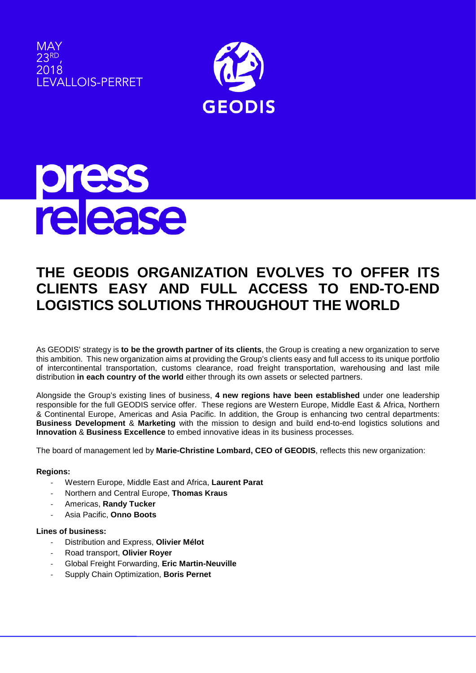





# **THE GEODIS ORGANIZATION EVOLVES TO OFFER ITS CLIENTS EASY AND FULL ACCESS TO END-TO-END LOGISTICS SOLUTIONS THROUGHOUT THE WORLD**

As GEODIS' strategy is **to be the growth partner of its clients**, the Group is creating a new organization to serve this ambition. This new organization aims at providing the Group's clients easy and full access to its unique portfolio of intercontinental transportation, customs clearance, road freight transportation, warehousing and last mile distribution **in each country of the world** either through its own assets or selected partners.

Alongside the Group's existing lines of business, **4 new regions have been established** under one leadership responsible for the full GEODIS service offer. These regions are Western Europe, Middle East & Africa, Northern & Continental Europe, Americas and Asia Pacific. In addition, the Group is enhancing two central departments: **Business Development** & **Marketing** with the mission to design and build end-to-end logistics solutions and **Innovation** & **Business Excellence** to embed innovative ideas in its business processes.

The board of management led by **Marie-Christine Lombard, CEO of GEODIS**, reflects this new organization:

## **Regions:**

- Western Europe, Middle East and Africa, **Laurent Parat**
- Northern and Central Europe, **Thomas Kraus**
- Americas, **Randy Tucker**
- Asia Pacific, **Onno Boots**

## **Lines of business:**

- Distribution and Express, **Olivier Mélot**
- Road transport, **Olivier Royer**
- Global Freight Forwarding, **Eric Martin-Neuville**
- Supply Chain Optimization, **Boris Pernet**